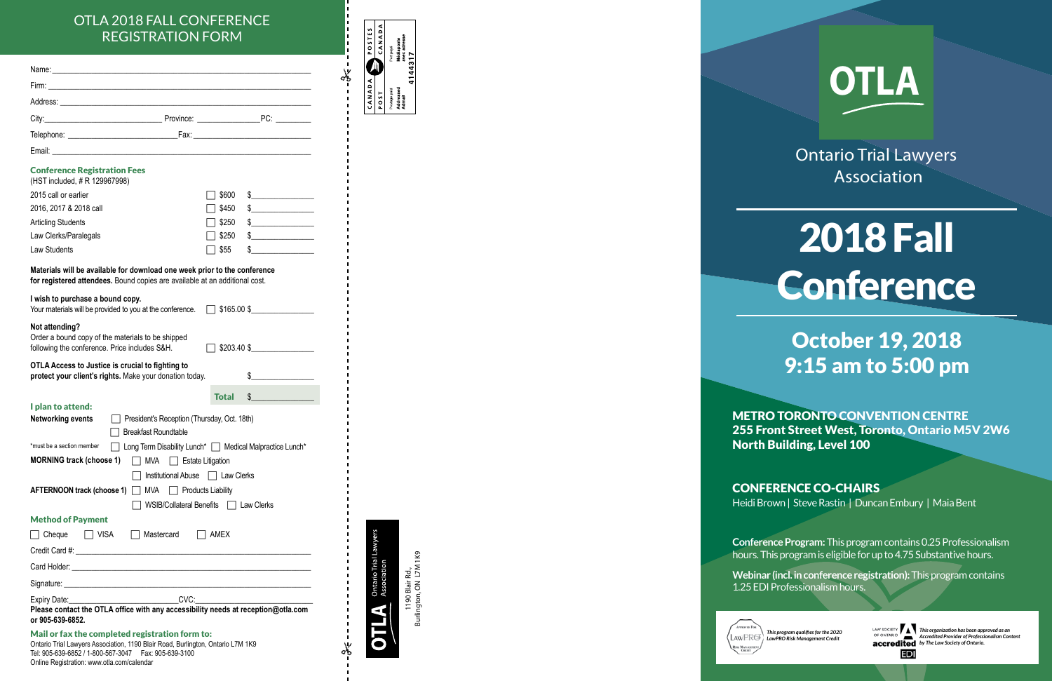### OTLA 2018 FALL CONFERENCE REGISTRATION FORM

| <b>Conference Registration Fees</b><br>(HST included, #R 129967998)                                                                                                                            |              |                                                                                                                                                                                                                                                                                                                                                                                                                                 |
|------------------------------------------------------------------------------------------------------------------------------------------------------------------------------------------------|--------------|---------------------------------------------------------------------------------------------------------------------------------------------------------------------------------------------------------------------------------------------------------------------------------------------------------------------------------------------------------------------------------------------------------------------------------|
| 2015 call or earlier                                                                                                                                                                           | \$600        | $\begin{picture}(20,10) \put(0,0){\line(1,0){10}} \put(15,0){\line(1,0){10}} \put(15,0){\line(1,0){10}} \put(15,0){\line(1,0){10}} \put(15,0){\line(1,0){10}} \put(15,0){\line(1,0){10}} \put(15,0){\line(1,0){10}} \put(15,0){\line(1,0){10}} \put(15,0){\line(1,0){10}} \put(15,0){\line(1,0){10}} \put(15,0){\line(1,0){10}} \put(15,0){\line(1$                                                                             |
| 2016, 2017 & 2018 call                                                                                                                                                                         | \$450        | $\frac{1}{2}$                                                                                                                                                                                                                                                                                                                                                                                                                   |
| <b>Articling Students</b>                                                                                                                                                                      | \$250        | $\frac{1}{2}$                                                                                                                                                                                                                                                                                                                                                                                                                   |
| Law Clerks/Paralegals                                                                                                                                                                          | 1 \$250      | $\frac{1}{2}$                                                                                                                                                                                                                                                                                                                                                                                                                   |
| Law Students                                                                                                                                                                                   | \$55         | $\frac{1}{\sqrt{1-\frac{1}{2}}}\frac{1}{\sqrt{1-\frac{1}{2}}}\frac{1}{\sqrt{1-\frac{1}{2}}}\frac{1}{\sqrt{1-\frac{1}{2}}}\frac{1}{\sqrt{1-\frac{1}{2}}}\frac{1}{\sqrt{1-\frac{1}{2}}}\frac{1}{\sqrt{1-\frac{1}{2}}}\frac{1}{\sqrt{1-\frac{1}{2}}}\frac{1}{\sqrt{1-\frac{1}{2}}}\frac{1}{\sqrt{1-\frac{1}{2}}}\frac{1}{\sqrt{1-\frac{1}{2}}}\frac{1}{\sqrt{1-\frac{1}{2}}}\frac{1}{\sqrt{1-\frac{1}{2}}}\frac{1}{\sqrt{1-\frac{$ |
| for registered attendees. Bound copies are available at an additional cost.<br>I wish to purchase a bound copy.<br>Your materials will be provided to you at the conference.<br>Not attending? |              | $\sqrt{3165.00 \text{ } $}}$                                                                                                                                                                                                                                                                                                                                                                                                    |
| Order a bound copy of the materials to be shipped<br>following the conference. Price includes S&H.                                                                                             |              | \$203.40 \$                                                                                                                                                                                                                                                                                                                                                                                                                     |
| OTLA Access to Justice is crucial to fighting to<br>protect your client's rights. Make your donation today.                                                                                    |              | $\frac{1}{2}$                                                                                                                                                                                                                                                                                                                                                                                                                   |
|                                                                                                                                                                                                | <b>Total</b> | $\mathsf{\$}$                                                                                                                                                                                                                                                                                                                                                                                                                   |
| I plan to attend:<br><b>Networking events</b><br>President's Reception (Thursday, Oct. 18th)<br>$\Box$ Breakfast Roundtable                                                                    |              |                                                                                                                                                                                                                                                                                                                                                                                                                                 |
| *must be a section member<br>□ Long Term Disability Lunch* □ Medical Malpractice Lunch*                                                                                                        |              |                                                                                                                                                                                                                                                                                                                                                                                                                                 |
| MVA   Estate Litigation<br><b>MORNING track (choose 1)</b>                                                                                                                                     |              |                                                                                                                                                                                                                                                                                                                                                                                                                                 |
| □ Institutional Abuse □ Law Clerks                                                                                                                                                             |              |                                                                                                                                                                                                                                                                                                                                                                                                                                 |
| AFTERNOON track (choose 1)   MVA   Products Liability                                                                                                                                          |              |                                                                                                                                                                                                                                                                                                                                                                                                                                 |
| ◯ WSIB/Collateral Benefits ◯ Law Clerks                                                                                                                                                        |              |                                                                                                                                                                                                                                                                                                                                                                                                                                 |
| <b>Method of Payment</b>                                                                                                                                                                       |              |                                                                                                                                                                                                                                                                                                                                                                                                                                 |
| □ Cheque □ VISA □ Mastercard                                                                                                                                                                   | $\Box$ AMEX  |                                                                                                                                                                                                                                                                                                                                                                                                                                 |
|                                                                                                                                                                                                |              |                                                                                                                                                                                                                                                                                                                                                                                                                                 |
|                                                                                                                                                                                                |              |                                                                                                                                                                                                                                                                                                                                                                                                                                 |
|                                                                                                                                                                                                |              |                                                                                                                                                                                                                                                                                                                                                                                                                                 |

 $\overline{\mathsf{D}}$ 

 $\chi$ 

1190 Blair Rd.,<br>ngton, ON L7M 1K9 Burlington, ON L7M 1K91190 Blair Rd.,

**Please contact the OTLA office with any accessibility needs at reception@otla.com** 

Expiry Date: The CVC:

**or 905-639-6852.**

Mail or fax the completed registration form to: Ontario Trial Lawyers Association, 1190 Blair Road, Burlington, Ontario L7M 1K9 Tel: 905-639-6852 / 1-800-567-3047 Fax: 905-639-3100 Online Registration: www.otla.com/calendar



Ontario Trial Lawyers Association

# 2018 Fall Conference

## October 19, 2018 9:15 am to 5:00 pm

METRO TORONTO CONVENTION CENTRE 255 Front Street West, Toronto, Ontario M5V 2W6 North Building, Level 100

CONFERENCE CO-CHAIRS Heidi Brown | Steve Rastin | Duncan Embury | Maia Bent

**Conference Program:** This program contains 0.25 Professionalism hours. This program is eligible for up to 4.75 Substantive hours.

**Webinar (incl. in conference registration):** This program contains 1.25 EDI Professionalism hours.



*This organization has been approved as an Accredited Provider of Professionalism Content by The Law Society of Ontario.*

*This program qualifies for the 2020 LawPRO Risk Management Credit*